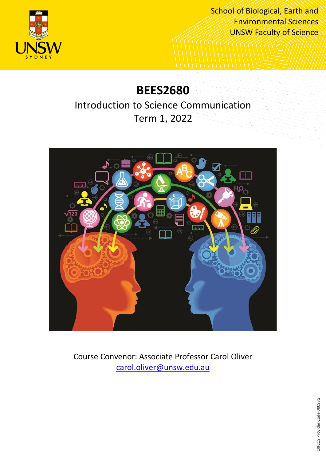

School of Biological, Earth and Environmental Sciences UNSW Faculty of Science

# **BEES2680**

## Introduction to Science Communication Term 1, 2022



Course Convenor: Associate Professor Carol Oliver [carol.oliver@unsw.edu.au](mailto:carol.oliver@unsw.edu.au)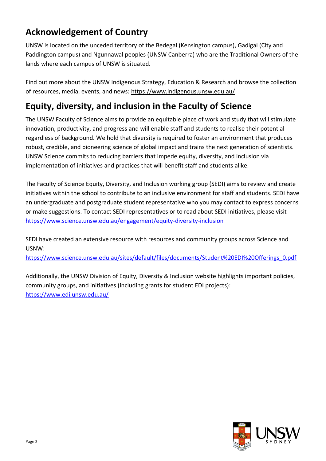## **Acknowledgement of Country**

UNSW is located on the unceded territory of the Bedegal (Kensington campus), Gadigal (City and Paddington campus) and Ngunnawal peoples (UNSW Canberra) who are the Traditional Owners of the lands where each campus of UNSW is situated.

Find out more about the UNSW Indigenous Strategy, Education & Research and browse the collection of resources, media, events, and news:<https://www.indigenous.unsw.edu.au/>

## **Equity, diversity, and inclusion in the Faculty of Science**

The UNSW Faculty of Science aims to provide an equitable place of work and study that will stimulate innovation, productivity, and progress and will enable staff and students to realise their potential regardless of background. We hold that diversity is required to foster an environment that produces robust, credible, and pioneering science of global impact and trains the next generation of scientists. UNSW Science commits to reducing barriers that impede equity, diversity, and inclusion via implementation of initiatives and practices that will benefit staff and students alike.

The Faculty of Science Equity, Diversity, and Inclusion working group (SEDI) aims to review and create initiatives within the school to contribute to an inclusive environment for staff and students. SEDI have an undergraduate and postgraduate student representative who you may contact to express concerns or make suggestions. To contact SEDI representatives or to read about SEDI initiatives, please visit <https://www.science.unsw.edu.au/engagement/equity-diversity-inclusion>

SEDI have created an extensive resource with resources and community groups across Science and USNW:

[https://www.science.unsw.edu.au/sites/default/files/documents/Student%20EDI%20Offerings\\_0.pdf](https://www.science.unsw.edu.au/sites/default/files/documents/Student%20EDI%20Offerings_0.pdf)

Additionally, the UNSW Division of Equity, Diversity & Inclusion website highlights important policies, community groups, and initiatives (including grants for student EDI projects): <https://www.edi.unsw.edu.au/>

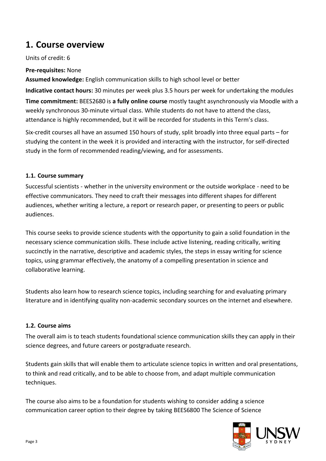### **1. Course overview**

Units of credit: 6

**Pre-requisites:** None

**Assumed knowledge:** English communication skills to high school level or better

**Indicative contact hours:** 30 minutes per week plus 3.5 hours per week for undertaking the modules

**Time commitment:** BEES2680 is **a fully online course** mostly taught asynchronously via Moodle with a weekly synchronous 30-minute virtual class. While students do not have to attend the class, attendance is highly recommended, but it will be recorded for students in this Term's class.

Six-credit courses all have an assumed 150 hours of study, split broadly into three equal parts – for studying the content in the week it is provided and interacting with the instructor, for self-directed study in the form of recommended reading/viewing, and for assessments.

#### **1.1. Course summary**

Successful scientists - whether in the university environment or the outside workplace - need to be effective communicators. They need to craft their messages into different shapes for different audiences, whether writing a lecture, a report or research paper, or presenting to peers or public audiences.

This course seeks to provide science students with the opportunity to gain a solid foundation in the necessary science communication skills. These include active listening, reading critically, writing succinctly in the narrative, descriptive and academic styles, the steps in essay writing for science topics, using grammar effectively, the anatomy of a compelling presentation in science and collaborative learning.

Students also learn how to research science topics, including searching for and evaluating primary literature and in identifying quality non-academic secondary sources on the internet and elsewhere.

#### **1.2. Course aims**

The overall aim is to teach students foundational science communication skills they can apply in their science degrees, and future careers or postgraduate research.

Students gain skills that will enable them to articulate science topics in written and oral presentations, to think and read critically, and to be able to choose from, and adapt multiple communication techniques.

The course also aims to be a foundation for students wishing to consider adding a science communication career option to their degree by taking BEES6800 The Science of Science

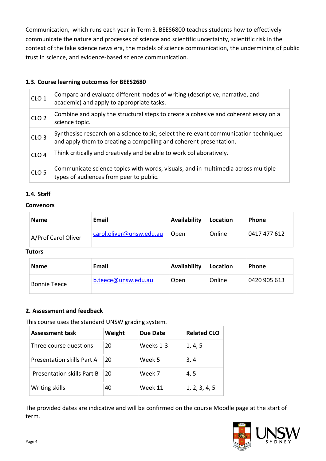Communication, which runs each year in Term 3. BEES6800 teaches students how to effectively communicate the nature and processes of science and scientific uncertainty, scientific risk in the context of the fake science news era, the models of science communication, the undermining of public trust in science, and evidence-based science communication.

#### **1.3. Course learning outcomes for BEES2680**

| CLO <sub>1</sub> | Compare and evaluate different modes of writing (descriptive, narrative, and<br>academic) and apply to appropriate tasks.                                  |
|------------------|------------------------------------------------------------------------------------------------------------------------------------------------------------|
| CLO <sub>2</sub> | Combine and apply the structural steps to create a cohesive and coherent essay on a<br>science topic.                                                      |
| CLO <sub>3</sub> | Synthesise research on a science topic, select the relevant communication techniques<br>and apply them to creating a compelling and coherent presentation. |
| CLO <sub>4</sub> | Think critically and creatively and be able to work collaboratively.                                                                                       |
| CLO <sub>5</sub> | Communicate science topics with words, visuals, and in multimedia across multiple<br>types of audiences from peer to public.                               |

#### **1.4. Staff**

#### **Convenors**

| <b>Name</b>         | Email                    | Availability | Location | <b>Phone</b> |
|---------------------|--------------------------|--------------|----------|--------------|
| A/Prof Carol Oliver | carol.oliver@unsw.edu.au | Open         | Online   | 0417 477 612 |

#### **Tutors**

| <b>Name</b>         | Email               | Availability | Location | <b>Phone</b> |
|---------------------|---------------------|--------------|----------|--------------|
| <b>Bonnie Teece</b> | b.teece@unsw.edu.au | Open         | Online   | 0420 905 613 |

#### **2. Assessment and feedback**

This course uses the standard UNSW grading system.

| <b>Assessment task</b>            | Weight | Due Date  | <b>Related CLO</b> |
|-----------------------------------|--------|-----------|--------------------|
| Three course questions            | 20     | Weeks 1-3 | 1, 4, 5            |
| <b>Presentation skills Part A</b> | 20     | Week 5    | 3, 4               |
| <b>Presentation skills Part B</b> | 20     | Week 7    | 4, 5               |
| Writing skills                    | 40     | Week 11   | 1, 2, 3, 4, 5      |

The provided dates are indicative and will be confirmed on the course Moodle page at the start of term.

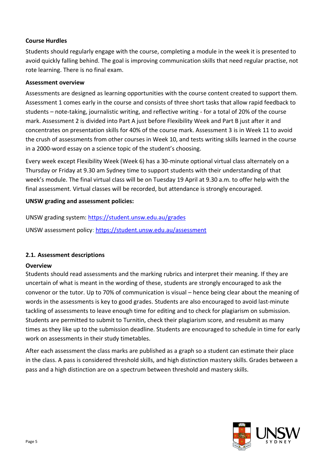#### **Course Hurdles**

Students should regularly engage with the course, completing a module in the week it is presented to avoid quickly falling behind. The goal is improving communication skills that need regular practise, not rote learning. There is no final exam.

#### **Assessment overview**

Assessments are designed as learning opportunities with the course content created to support them. Assessment 1 comes early in the course and consists of three short tasks that allow rapid feedback to students – note-taking, journalistic writing, and reflective writing - for a total of 20% of the course mark. Assessment 2 is divided into Part A just before Flexibility Week and Part B just after it and concentrates on presentation skills for 40% of the course mark. Assessment 3 is in Week 11 to avoid the crush of assessments from other courses in Week 10, and tests writing skills learned in the course in a 2000-word essay on a science topic of the student's choosing.

Every week except Flexibility Week (Week 6) has a 30-minute optional virtual class alternately on a Thursday or Friday at 9.30 am Sydney time to support students with their understanding of that week's module. The final virtual class will be on Tuesday 19 April at 9.30 a.m. to offer help with the final assessment. Virtual classes will be recorded, but attendance is strongly encouraged.

#### **UNSW grading and assessment policies:**

UNSW grading system:<https://student.unsw.edu.au/grades>

UNSW assessment policy:<https://student.unsw.edu.au/assessment>

#### **2.1. Assessment descriptions**

#### **Overview**

Students should read assessments and the marking rubrics and interpret their meaning. If they are uncertain of what is meant in the wording of these, students are strongly encouraged to ask the convenor or the tutor. Up to 70% of communication is visual – hence being clear about the meaning of words in the assessments is key to good grades. Students are also encouraged to avoid last-minute tackling of assessments to leave enough time for editing and to check for plagiarism on submission. Students are permitted to submit to Turnitin, check their plagiarism score, and resubmit as many times as they like up to the submission deadline. Students are encouraged to schedule in time for early work on assessments in their study timetables.

After each assessment the class marks are published as a graph so a student can estimate their place in the class. A pass is considered threshold skills, and high distinction mastery skills. Grades between a pass and a high distinction are on a spectrum between threshold and mastery skills.

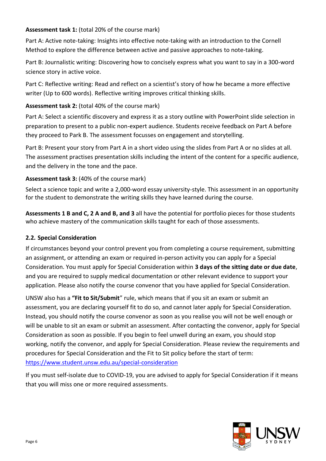#### **Assessment task 1:** (total 20% of the course mark)

Part A: Active note-taking: Insights into effective note-taking with an introduction to the Cornell Method to explore the difference between active and passive approaches to note-taking.

Part B: Journalistic writing: Discovering how to concisely express what you want to say in a 300-word science story in active voice.

Part C: Reflective writing: Read and reflect on a scientist's story of how he became a more effective writer (Up to 600 words). Reflective writing improves critical thinking skills.

#### **Assessment task 2:** (total 40% of the course mark)

Part A: Select a scientific discovery and express it as a story outline with PowerPoint slide selection in preparation to present to a public non-expert audience. Students receive feedback on Part A before they proceed to Park B. The assessment focusses on engagement and storytelling.

Part B: Present your story from Part A in a short video using the slides from Part A or no slides at all. The assessment practises presentation skills including the intent of the content for a specific audience, and the delivery in the tone and the pace.

#### **Assessment task 3:** (40% of the course mark)

Select a science topic and write a 2,000-word essay university-style. This assessment in an opportunity for the student to demonstrate the writing skills they have learned during the course.

**Assessments 1 B and C, 2 A and B, and 3** all have the potential for portfolio pieces for those students who achieve mastery of the communication skills taught for each of those assessments.

#### **2.2. Special Consideration**

If circumstances beyond your control prevent you from completing a course requirement, submitting an assignment, or attending an exam or required in-person activity you can apply for a Special Consideration. You must apply for Special Consideration within **3 days of the sitting date or due date**, and you are required to supply medical documentation or other relevant evidence to support your application. Please also notify the course convenor that you have applied for Special Consideration.

UNSW also has a **"Fit to Sit/Submit**" rule, which means that if you sit an exam or submit an assessment, you are declaring yourself fit to do so, and cannot later apply for Special Consideration. Instead, you should notify the course convenor as soon as you realise you will not be well enough or will be unable to sit an exam or submit an assessment. After contacting the convenor, apply for Special Consideration as soon as possible. If you begin to feel unwell during an exam, you should stop working, notify the convenor, and apply for Special Consideration. Please review the requirements and procedures for Special Consideration and the Fit to Sit policy before the start of term: <https://www.student.unsw.edu.au/special-consideration>

If you must self-isolate due to COVID-19, you are advised to apply for Special Consideration if it means that you will miss one or more required assessments.

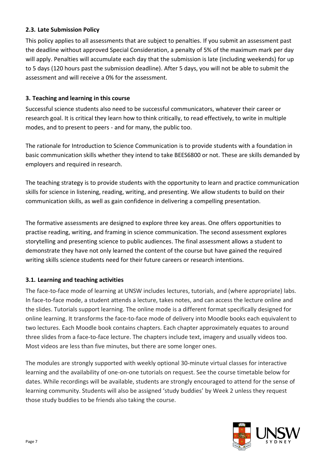#### **2.3. Late Submission Policy**

This policy applies to all assessments that are subject to penalties. If you submit an assessment past the deadline without approved Special Consideration, a penalty of 5% of the maximum mark per day will apply. Penalties will accumulate each day that the submission is late (including weekends) for up to 5 days (120 hours past the submission deadline). After 5 days, you will not be able to submit the assessment and will receive a 0% for the assessment.

#### **3. Teaching and learning in this course**

Successful science students also need to be successful communicators, whatever their career or research goal. It is critical they learn how to think critically, to read effectively, to write in multiple modes, and to present to peers - and for many, the public too.

The rationale for Introduction to Science Communication is to provide students with a foundation in basic communication skills whether they intend to take BEES6800 or not. These are skills demanded by employers and required in research.

The teaching strategy is to provide students with the opportunity to learn and practice communication skills for science in listening, reading, writing, and presenting. We allow students to build on their communication skills, as well as gain confidence in delivering a compelling presentation.

The formative assessments are designed to explore three key areas. One offers opportunities to practise reading, writing, and framing in science communication. The second assessment explores storytelling and presenting science to public audiences. The final assessment allows a student to demonstrate they have not only learned the content of the course but have gained the required writing skills science students need for their future careers or research intentions.

#### **3.1. Learning and teaching activities**

The face-to-face mode of learning at UNSW includes lectures, tutorials, and (where appropriate) labs. In face-to-face mode, a student attends a lecture, takes notes, and can access the lecture online and the slides. Tutorials support learning. The online mode is a different format specifically designed for online learning. It transforms the face-to-face mode of delivery into Moodle books each equivalent to two lectures. Each Moodle book contains chapters. Each chapter approximately equates to around three slides from a face-to-face lecture. The chapters include text, imagery and usually videos too. Most videos are less than five minutes, but there are some longer ones.

The modules are strongly supported with weekly optional 30-minute virtual classes for interactive learning and the availability of one-on-one tutorials on request. See the course timetable below for dates. While recordings will be available, students are strongly encouraged to attend for the sense of learning community. Students will also be assigned 'study buddies' by Week 2 unless they request those study buddies to be friends also taking the course.

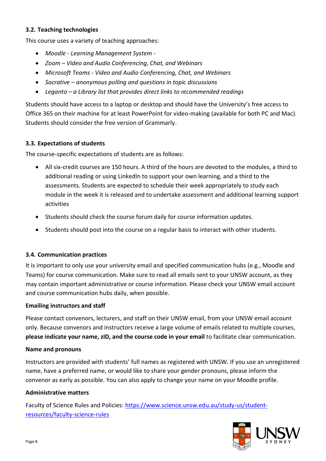#### **3.2. Teaching technologies**

This course uses a variety of teaching approaches:

- *Moodle - Learning Management System -*
- *Zoom – Video and Audio Conferencing, Chat, and Webinars*
- *Microsoft Teams - Video and Audio Conferencing, Chat, and Webinars*
- *Socrative – anonymous polling and questions in topic discussions*
- *Leganto – a Library list that provides direct links to recommended readings*

Students should have access to a laptop or desktop and should have the University's free access to Office 365 on their machine for at least PowerPoint for video-making (available for both PC and Mac)*.* Students should consider the free version of Grammarly.

#### **3.3. Expectations of students**

The course-specific expectations of students are as follows:

- All six-credit courses are 150 hours. A third of the hours are devoted to the modules, a third to additional reading or using LinkedIn to support your own learning, and a third to the assessments. Students are expected to schedule their week appropriately to study each module in the week it is released and to undertake assessment and additional learning support activities
- Students should check the course forum daily for course information updates.
- Students should post into the course on a regular basis to interact with other students.

#### **3.4. Communication practices**

It is important to only use your university email and specified communication hubs (e.g., Moodle and Teams) for course communication. Make sure to read all emails sent to your UNSW account, as they may contain important administrative or course information. Please check your UNSW email account and course communication hubs daily, when possible.

#### **Emailing instructors and staff**

Please contact convenors, lecturers, and staff on their UNSW email, from your UNSW email account only. Because convenors and instructors receive a large volume of emails related to multiple courses, **please indicate your name, zID, and the course code in your email** to facilitate clear communication.

#### **Name and pronouns**

Instructors are provided with students' full names as registered with UNSW. If you use an unregistered name, have a preferred name, or would like to share your gender pronouns, please inform the convenor as early as possible. You can also apply to change your name on your Moodle profile.

#### **Administrative matters**

Faculty of Science Rules and Policies: [https://www.science.unsw.edu.au/study-us/student](https://www.science.unsw.edu.au/study-us/student-resources/faculty-science-rules)[resources/faculty-science-rules](https://www.science.unsw.edu.au/study-us/student-resources/faculty-science-rules)

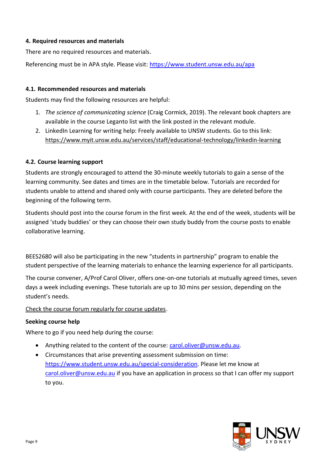#### **4. Required resources and materials**

There are no required resources and materials.

Referencing must be in APA style. Please visit:<https://www.student.unsw.edu.au/apa>

#### **4.1. Recommended resources and materials**

Students may find the following resources are helpful:

- 1. *The science of communicating science* (Craig Cormick, 2019). The relevant book chapters are available in the course Leganto list with the link posted in the relevant module.
- 2. LinkedIn Learning for writing help: Freely available to UNSW students. Go to this link: <https://www.myit.unsw.edu.au/services/staff/educational-technology/linkedin-learning>

#### **4.2. Course learning support**

Students are strongly encouraged to attend the 30-minute weekly tutorials to gain a sense of the learning community. See dates and times are in the timetable below. Tutorials are recorded for students unable to attend and shared only with course participants. They are deleted before the beginning of the following term.

Students should post into the course forum in the first week. At the end of the week, students will be assigned 'study buddies' or they can choose their own study buddy from the course posts to enable collaborative learning.

BEES2680 will also be participating in the new "students in partnership" program to enable the student perspective of the learning materials to enhance the learning experience for all participants.

The course convener, A/Prof Carol Oliver, offers one-on-one tutorials at mutually agreed times, seven days a week including evenings. These tutorials are up to 30 mins per session, depending on the student's needs.

#### Check the course forum regularly for course updates.

#### **Seeking course help**

Where to go if you need help during the course:

- Anything related to the content of the course: [carol.oliver@unsw.edu.au.](mailto:carol.oliver@unsw.edu.au)
- Circumstances that arise preventing assessment submission on time: [https://www.student.unsw.edu.au/special-consideration.](https://www.student.unsw.edu.au/special-consideration) Please let me know at [carol.oliver@unsw.edu.au](mailto:carol.oliver@unsw.edu.au) if you have an application in process so that I can offer my support to you.

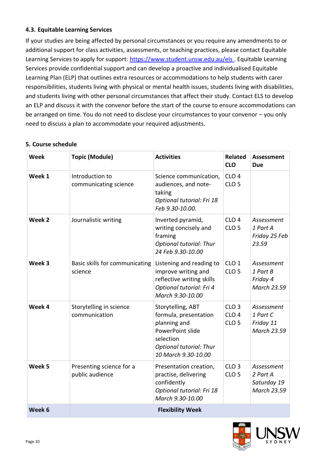#### **4.3. Equitable Learning Services**

If your studies are being affected by personal circumstances or you require any amendments to or additional support for class activities, assessments, or teaching practices, please contact Equitable Learning Services to apply for support:<https://www.student.unsw.edu.au/els> . Equitable Learning Services provide confidential support and can develop a proactive and individualised Equitable Learning Plan (ELP) that outlines extra resources or accommodations to help students with carer responsibilities, students living with physical or mental health issues, students living with disabilities, and students living with other personal circumstances that affect their study. Contact ELS to develop an ELP and discuss it with the convenor before the start of the course to ensure accommodations can be arranged on time. You do not need to disclose your circumstances to your convenor – you only need to discuss a plan to accommodate your required adjustments.

#### **5. Course schedule**

| Week   | <b>Topic (Module)</b>                       | <b>Activities</b>                                                                                                                                    | <b>Related</b><br><b>CLO</b>                             | <b>Assessment</b><br><b>Due</b>                          |
|--------|---------------------------------------------|------------------------------------------------------------------------------------------------------------------------------------------------------|----------------------------------------------------------|----------------------------------------------------------|
| Week 1 | Introduction to<br>communicating science    | Science communication,<br>audiences, and note-<br>taking<br>Optional tutorial: Fri 18<br>Feb 9.30-10.00.                                             | CLO <sub>4</sub><br>CLO <sub>5</sub>                     |                                                          |
| Week 2 | Journalistic writing                        | Inverted pyramid,<br>writing concisely and<br>framing<br><b>Optional tutorial: Thur</b><br>24 Feb 9.30-10.00                                         | CLO <sub>4</sub><br>CLO <sub>5</sub>                     | Assessment<br>1 Part A<br>Friday 25 Feb<br>23.59         |
| Week 3 | Basic skills for communicating<br>science   | Listening and reading to<br>improve writing and<br>reflective writing skills<br>Optional tutorial: Fri 4<br>March 9.30-10.00                         | CLO <sub>1</sub><br>CLO <sub>5</sub>                     | Assessment<br>1 Part B<br>Friday 4<br><b>March 23.59</b> |
| Week 4 | Storytelling in science<br>communication    | Storytelling, ABT<br>formula, presentation<br>planning and<br>PowerPoint slide<br>selection<br><b>Optional tutorial: Thur</b><br>10 March 9.30-10.00 | CLO <sub>3</sub><br>CLO <sub>4</sub><br>CLO <sub>5</sub> | Assessment<br>1 Part C<br>Friday 11<br>March 23.59       |
| Week 5 | Presenting science for a<br>public audience | Presentation creation,<br>practise, delivering<br>confidently<br>Optional tutorial: Fri 18<br>March 9.30-10.00                                       | CLO <sub>3</sub><br>CLO <sub>5</sub>                     | Assessment<br>2 Part A<br>Saturday 19<br>March 23.59     |
| Week 6 |                                             | <b>Flexibility Week</b>                                                                                                                              |                                                          |                                                          |

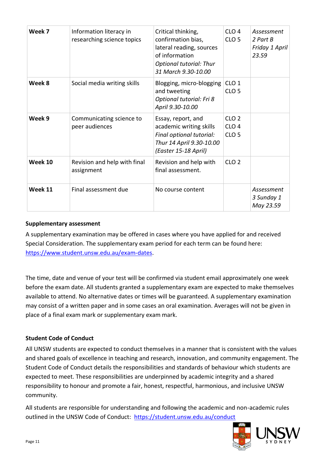| Week 7  | Information literacy in<br>researching science topics | Critical thinking,<br>confirmation bias,<br>lateral reading, sources<br>of information<br><b>Optional tutorial: Thur</b><br>31 March 9.30-10.00 | CLO <sub>4</sub><br>CLO <sub>5</sub>                     | Assessment<br>2 Part B<br>Friday 1 April<br>23.59 |
|---------|-------------------------------------------------------|-------------------------------------------------------------------------------------------------------------------------------------------------|----------------------------------------------------------|---------------------------------------------------|
| Week 8  | Social media writing skills                           | Blogging, micro-blogging<br>and tweeting<br>Optional tutorial: Fri 8<br>April 9.30-10.00                                                        | CLO <sub>1</sub><br>CLO <sub>5</sub>                     |                                                   |
| Week 9  | Communicating science to<br>peer audiences            | Essay, report, and<br>academic writing skills<br>Final optional tutorial:<br>Thur 14 April 9.30-10.00<br>(Easter 15-18 April)                   | CLO <sub>2</sub><br>CLO <sub>4</sub><br>CLO <sub>5</sub> |                                                   |
| Week 10 | Revision and help with final<br>assignment            | Revision and help with<br>final assessment.                                                                                                     | CLO <sub>2</sub>                                         |                                                   |
| Week 11 | Final assessment due                                  | No course content                                                                                                                               |                                                          | Assessment<br>3 Sunday 1<br>May 23.59             |

#### **Supplementary assessment**

A supplementary examination may be offered in cases where you have applied for and received Special Consideration. The supplementary exam period for each term can be found here: [https://www.student.unsw.edu.au/exam-dates.](https://www.student.unsw.edu.au/exam-dates)

The time, date and venue of your test will be confirmed via student email approximately one week before the exam date. All students granted a supplementary exam are expected to make themselves available to attend. No alternative dates or times will be guaranteed. A supplementary examination may consist of a written paper and in some cases an oral examination. Averages will not be given in place of a final exam mark or supplementary exam mark.

#### **Student Code of Conduct**

All UNSW students are expected to conduct themselves in a manner that is consistent with the values and shared goals of excellence in teaching and research, innovation, and community engagement. The Student Code of Conduct details the responsibilities and standards of behaviour which students are expected to meet. These responsibilities are underpinned by academic integrity and a shared responsibility to honour and promote a fair, honest, respectful, harmonious, and inclusive UNSW community.

All students are responsible for understanding and following the academic and non-academic rules outlined in the UNSW Code of Conduct: <https://student.unsw.edu.au/conduct>

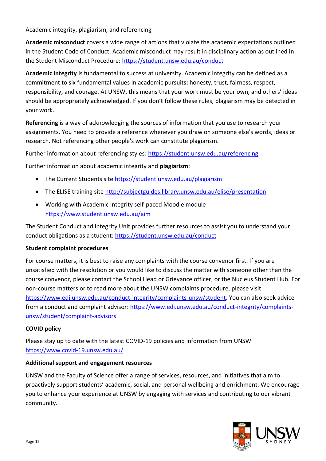Academic integrity, plagiarism, and referencing

**Academic misconduct** covers a wide range of actions that violate the academic expectations outlined in the Student Code of Conduct. Academic misconduct may result in disciplinary action as outlined in the Student Misconduct Procedure:<https://student.unsw.edu.au/conduct>

**Academic integrity** is fundamental to success at university. Academic integrity can be defined as a commitment to six fundamental values in academic pursuits**:** honesty, trust, fairness, respect, responsibility, and courage. At UNSW, this means that your work must be your own, and others' ideas should be appropriately acknowledged. If you don't follow these rules, plagiarism may be detected in your work.

**Referencing** is a way of acknowledging the sources of information that you use to research your assignments. You need to provide a reference whenever you draw on someone else's words, ideas or research. Not referencing other people's work can constitute plagiarism.

Further information about referencing styles:<https://student.unsw.edu.au/referencing>

Further information about academic integrity and **plagiarism**:

- The Current Students site<https://student.unsw.edu.au/plagiarism>
- The ELISE training site<http://subjectguides.library.unsw.edu.au/elise/presentation>
- Working with Academic Integrity self-paced Moodle module <https://www.student.unsw.edu.au/aim>

The Student Conduct and Integrity Unit provides further resources to assist you to understand your conduct obligations as a student:<https://student.unsw.edu.au/conduct>*.*

#### **Student complaint procedures**

For course matters, it is best to raise any complaints with the course convenor first. If you are unsatisfied with the resolution or you would like to discuss the matter with someone other than the course convenor, please contact the School Head or Grievance officer, or the Nucleus Student Hub. For non-course matters or to read more about the UNSW complaints procedure, please visit [https://www.edi.unsw.edu.au/conduct-integrity/complaints-unsw/student.](https://www.edi.unsw.edu.au/conduct-integrity/complaints-unsw/student) You can also seek advice from a conduct and complaint advisor: [https://www.edi.unsw.edu.au/conduct-integrity/complaints](https://www.edi.unsw.edu.au/conduct-integrity/complaints-unsw/student/complaint-advisors)[unsw/student/complaint-advisors](https://www.edi.unsw.edu.au/conduct-integrity/complaints-unsw/student/complaint-advisors)

#### **COVID policy**

Please stay up to date with the latest COVID-19 policies and information from UNSW <https://www.covid-19.unsw.edu.au/>

#### **Additional support and engagement resources**

UNSW and the Faculty of Science offer a range of services, resources, and initiatives that aim to proactively support students' academic, social, and personal wellbeing and enrichment. We encourage you to enhance your experience at UNSW by engaging with services and contributing to our vibrant community.

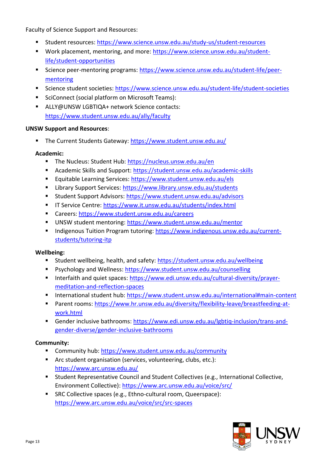Faculty of Science Support and Resources:

- Student resources:<https://www.science.unsw.edu.au/study-us/student-resources>
- Work placement, mentoring, and more: [https://www.science.unsw.edu.au/student](https://www.science.unsw.edu.au/student-life/student-opportunities)[life/student-opportunities](https://www.science.unsw.edu.au/student-life/student-opportunities)
- Science peer-mentoring programs: [https://www.science.unsw.edu.au/student-life/peer](https://www.science.unsw.edu.au/student-life/peer-mentoring)[mentoring](https://www.science.unsw.edu.au/student-life/peer-mentoring)
- Science student societies:<https://www.science.unsw.edu.au/student-life/student-societies>
- SciConnect (social platform on Microsoft Teams):
- ALLY@UNSW LGBTIQA+ network Science contacts: <https://www.student.unsw.edu.au/ally/faculty>

#### **UNSW Support and Resources**:

■ The Current Students Gateway:<https://www.student.unsw.edu.au/>

#### **Academic:**

- The Nucleus: Student Hub:<https://nucleus.unsw.edu.au/en>
- Academic Skills and Support:<https://student.unsw.edu.au/academic-skills>
- Equitable Learning Services:<https://www.student.unsw.edu.au/els>
- Library Support Services:<https://www.library.unsw.edu.au/students>
- Student Support Advisors:<https://www.student.unsw.edu.au/advisors>
- **E** IT Service Centre:<https://www.it.unsw.edu.au/students/index.html>
- Careers:<https://www.student.unsw.edu.au/careers>
- UNSW student mentoring:<https://www.student.unsw.edu.au/mentor>
- Indigenous Tuition Program tutoring: [https://www.indigenous.unsw.edu.au/current](https://www.indigenous.unsw.edu.au/current-students/tutoring-itp)[students/tutoring-itp](https://www.indigenous.unsw.edu.au/current-students/tutoring-itp)

#### **Wellbeing:**

- Student wellbeing, health, and safety:<https://student.unsw.edu.au/wellbeing>
- Psychology and Wellness:<https://www.student.unsw.edu.au/counselling>
- Interfaith and quiet spaces: [https://www.edi.unsw.edu.au/cultural-diversity/prayer](https://www.edi.unsw.edu.au/cultural-diversity/prayer-meditation-and-reflection-spaces)[meditation-and-reflection-spaces](https://www.edi.unsw.edu.au/cultural-diversity/prayer-meditation-and-reflection-spaces)
- International student hub:<https://www.student.unsw.edu.au/international#main-content>
- Parent rooms: [https://www.hr.unsw.edu.au/diversity/flexibility-leave/breastfeeding-at](https://www.hr.unsw.edu.au/diversity/flexibility-leave/breastfeeding-at-work.html)[work.html](https://www.hr.unsw.edu.au/diversity/flexibility-leave/breastfeeding-at-work.html)
- Gender inclusive bathrooms: [https://www.edi.unsw.edu.au/lgbtiq-inclusion/trans-and](https://www.edi.unsw.edu.au/lgbtiq-inclusion/trans-and-gender-diverse/gender-inclusive-bathrooms)[gender-diverse/gender-inclusive-bathrooms](https://www.edi.unsw.edu.au/lgbtiq-inclusion/trans-and-gender-diverse/gender-inclusive-bathrooms)

#### **Community:**

- Community hub:<https://www.student.unsw.edu.au/community>
- Arc student organisation (services, volunteering, clubs, etc.): <https://www.arc.unsw.edu.au/>
- Student Representative Council and Student Collectives (e.g., International Collective, Environment Collective):<https://www.arc.unsw.edu.au/voice/src/>
- SRC Collective spaces (e.g., Ethno-cultural room, Queerspace): <https://www.arc.unsw.edu.au/voice/src/src-spaces>